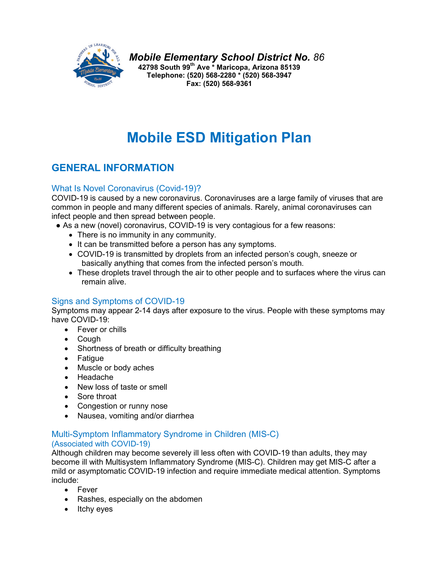

*Mobile Elementary School District No. 86* **42798 South 99th Ave \* Maricopa, Arizona 85139 Telephone: (520) 568-2280 \* (520) 568-3947 Fax: (520) 568-9361**

# **Mobile ESD Mitigation Plan**

## **GENERAL INFORMATION**

#### What Is Novel Coronavirus (Covid-19)?

COVID-19 is caused by a new coronavirus. Coronaviruses are a large family of viruses that are common in people and many different species of animals. Rarely, animal coronaviruses can infect people and then spread between people.

- As a new (novel) coronavirus, COVID-19 is very contagious for a few reasons:
	- There is no immunity in any community.
	- It can be transmitted before a person has any symptoms.
	- COVID-19 is transmitted by droplets from an infected person's cough, sneeze or basically anything that comes from the infected person's mouth.
	- These droplets travel through the air to other people and to surfaces where the virus can remain alive.

#### Signs and Symptoms of COVID-19

Symptoms may appear 2-14 days after exposure to the virus. People with these symptoms may have COVID-19:

- Fever or chills
- Cough
- Shortness of breath or difficulty breathing
- Fatigue
- Muscle or body aches
- Headache
- New loss of taste or smell
- Sore throat
- Congestion or runny nose
- Nausea, vomiting and/or diarrhea

#### Multi-Symptom Inflammatory Syndrome in Children (MIS-C) (Associated with COVID-19)

Although children may become severely ill less often with COVID-19 than adults, they may become ill with Multisystem Inflammatory Syndrome (MIS-C). Children may get MIS-C after a mild or asymptomatic COVID-19 infection and require immediate medical attention. Symptoms include:

- Fever
- Rashes, especially on the abdomen
- Itchy eyes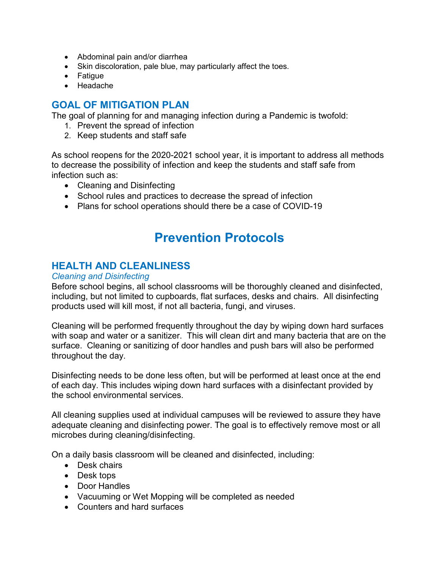- Abdominal pain and/or diarrhea
- Skin discoloration, pale blue, may particularly affect the toes.
- Fatigue
- Headache

## **GOAL OF MITIGATION PLAN**

The goal of planning for and managing infection during a Pandemic is twofold:

- 1. Prevent the spread of infection
- 2. Keep students and staff safe

As school reopens for the 2020-2021 school year, it is important to address all methods to decrease the possibility of infection and keep the students and staff safe from infection such as:

- Cleaning and Disinfecting
- School rules and practices to decrease the spread of infection
- Plans for school operations should there be a case of COVID-19

## **Prevention Protocols**

## **HEALTH AND CLEANLINESS**

#### *Cleaning and Disinfecting*

Before school begins, all school classrooms will be thoroughly cleaned and disinfected, including, but not limited to cupboards, flat surfaces, desks and chairs. All disinfecting products used will kill most, if not all bacteria, fungi, and viruses.

Cleaning will be performed frequently throughout the day by wiping down hard surfaces with soap and water or a sanitizer. This will clean dirt and many bacteria that are on the surface. Cleaning or sanitizing of door handles and push bars will also be performed throughout the day.

Disinfecting needs to be done less often, but will be performed at least once at the end of each day. This includes wiping down hard surfaces with a disinfectant provided by the school environmental services.

All cleaning supplies used at individual campuses will be reviewed to assure they have adequate cleaning and disinfecting power. The goal is to effectively remove most or all microbes during cleaning/disinfecting.

On a daily basis classroom will be cleaned and disinfected, including:

- Desk chairs
- Desk tops
- Door Handles
- Vacuuming or Wet Mopping will be completed as needed
- Counters and hard surfaces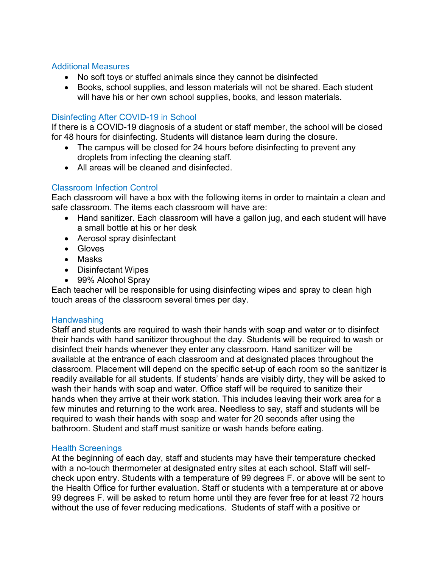#### Additional Measures

- No soft toys or stuffed animals since they cannot be disinfected
- Books, school supplies, and lesson materials will not be shared. Each student will have his or her own school supplies, books, and lesson materials.

#### Disinfecting After COVID-19 in School

If there is a COVID-19 diagnosis of a student or staff member, the school will be closed for 48 hours for disinfecting. Students will distance learn during the closure.

- The campus will be closed for 24 hours before disinfecting to prevent any droplets from infecting the cleaning staff.
- All areas will be cleaned and disinfected.

#### Classroom Infection Control

Each classroom will have a box with the following items in order to maintain a clean and safe classroom. The items each classroom will have are:

- Hand sanitizer. Each classroom will have a gallon jug, and each student will have a small bottle at his or her desk
- Aerosol spray disinfectant
- Gloves
- Masks
- Disinfectant Wipes
- 99% Alcohol Spray

Each teacher will be responsible for using disinfecting wipes and spray to clean high touch areas of the classroom several times per day.

#### **Handwashing**

Staff and students are required to wash their hands with soap and water or to disinfect their hands with hand sanitizer throughout the day. Students will be required to wash or disinfect their hands whenever they enter any classroom. Hand sanitizer will be available at the entrance of each classroom and at designated places throughout the classroom. Placement will depend on the specific set-up of each room so the sanitizer is readily available for all students. If students' hands are visibly dirty, they will be asked to wash their hands with soap and water. Office staff will be required to sanitize their hands when they arrive at their work station. This includes leaving their work area for a few minutes and returning to the work area. Needless to say, staff and students will be required to wash their hands with soap and water for 20 seconds after using the bathroom. Student and staff must sanitize or wash hands before eating.

#### Health Screenings

At the beginning of each day, staff and students may have their temperature checked with a no-touch thermometer at designated entry sites at each school. Staff will selfcheck upon entry. Students with a temperature of 99 degrees F. or above will be sent to the Health Office for further evaluation. Staff or students with a temperature at or above 99 degrees F. will be asked to return home until they are fever free for at least 72 hours without the use of fever reducing medications. Students of staff with a positive or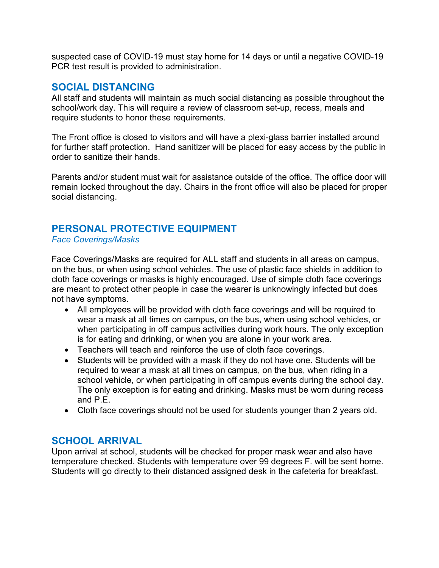suspected case of COVID-19 must stay home for 14 days or until a negative COVID-19 PCR test result is provided to administration.

#### **SOCIAL DISTANCING**

All staff and students will maintain as much social distancing as possible throughout the school/work day. This will require a review of classroom set-up, recess, meals and require students to honor these requirements.

The Front office is closed to visitors and will have a plexi-glass barrier installed around for further staff protection. Hand sanitizer will be placed for easy access by the public in order to sanitize their hands.

Parents and/or student must wait for assistance outside of the office. The office door will remain locked throughout the day. Chairs in the front office will also be placed for proper social distancing.

## **PERSONAL PROTECTIVE EQUIPMENT**

#### *Face Coverings/Masks*

Face Coverings/Masks are required for ALL staff and students in all areas on campus, on the bus, or when using school vehicles. The use of plastic face shields in addition to cloth face coverings or masks is highly encouraged. Use of simple cloth face coverings are meant to protect other people in case the wearer is unknowingly infected but does not have symptoms.

- All employees will be provided with cloth face coverings and will be required to wear a mask at all times on campus, on the bus, when using school vehicles, or when participating in off campus activities during work hours. The only exception is for eating and drinking, or when you are alone in your work area.
- Teachers will teach and reinforce the use of cloth face coverings.
- Students will be provided with a mask if they do not have one. Students will be required to wear a mask at all times on campus, on the bus, when riding in a school vehicle, or when participating in off campus events during the school day. The only exception is for eating and drinking. Masks must be worn during recess and P.E.
- Cloth face coverings should not be used for students younger than 2 years old.

## **SCHOOL ARRIVAL**

Upon arrival at school, students will be checked for proper mask wear and also have temperature checked. Students with temperature over 99 degrees F. will be sent home. Students will go directly to their distanced assigned desk in the cafeteria for breakfast.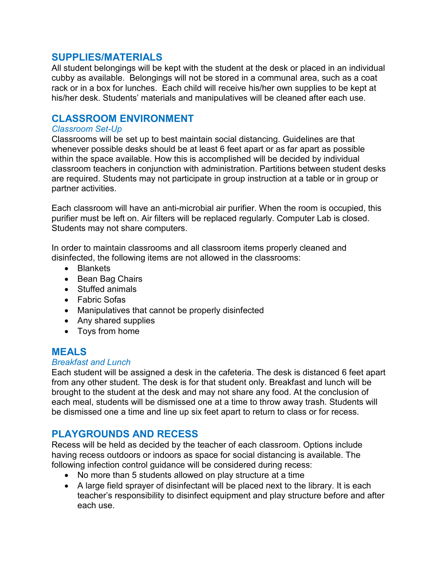#### **SUPPLIES/MATERIALS**

All student belongings will be kept with the student at the desk or placed in an individual cubby as available. Belongings will not be stored in a communal area, such as a coat rack or in a box for lunches. Each child will receive his/her own supplies to be kept at his/her desk. Students' materials and manipulatives will be cleaned after each use.

#### **CLASSROOM ENVIRONMENT**

#### *Classroom Set-Up*

Classrooms will be set up to best maintain social distancing. Guidelines are that whenever possible desks should be at least 6 feet apart or as far apart as possible within the space available. How this is accomplished will be decided by individual classroom teachers in conjunction with administration. Partitions between student desks are required. Students may not participate in group instruction at a table or in group or partner activities.

Each classroom will have an anti-microbial air purifier. When the room is occupied, this purifier must be left on. Air filters will be replaced regularly. Computer Lab is closed. Students may not share computers.

In order to maintain classrooms and all classroom items properly cleaned and disinfected, the following items are not allowed in the classrooms:

- Blankets
- Bean Bag Chairs
- Stuffed animals
- Fabric Sofas
- Manipulatives that cannot be properly disinfected
- Any shared supplies
- Toys from home

## **MEALS**

#### *Breakfast and Lunch*

Each student will be assigned a desk in the cafeteria. The desk is distanced 6 feet apart from any other student. The desk is for that student only. Breakfast and lunch will be brought to the student at the desk and may not share any food. At the conclusion of each meal, students will be dismissed one at a time to throw away trash. Students will be dismissed one a time and line up six feet apart to return to class or for recess.

## **PLAYGROUNDS AND RECESS**

Recess will be held as decided by the teacher of each classroom. Options include having recess outdoors or indoors as space for social distancing is available. The following infection control guidance will be considered during recess:

- No more than 5 students allowed on play structure at a time
- A large field sprayer of disinfectant will be placed next to the library. It is each teacher's responsibility to disinfect equipment and play structure before and after each use.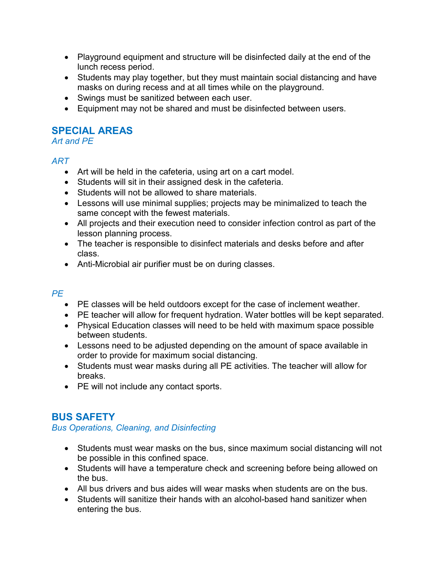- Playground equipment and structure will be disinfected daily at the end of the lunch recess period.
- Students may play together, but they must maintain social distancing and have masks on during recess and at all times while on the playground.
- Swings must be sanitized between each user.
- Equipment may not be shared and must be disinfected between users.

## **SPECIAL AREAS**

*Art and PE*

## *ART*

- Art will be held in the cafeteria, using art on a cart model.
- Students will sit in their assigned desk in the cafeteria.
- Students will not be allowed to share materials.
- Lessons will use minimal supplies; projects may be minimalized to teach the same concept with the fewest materials.
- All projects and their execution need to consider infection control as part of the lesson planning process.
- The teacher is responsible to disinfect materials and desks before and after class.
- Anti-Microbial air purifier must be on during classes.

## *PE*

- PE classes will be held outdoors except for the case of inclement weather.
- PE teacher will allow for frequent hydration. Water bottles will be kept separated.
- Physical Education classes will need to be held with maximum space possible between students.
- Lessons need to be adjusted depending on the amount of space available in order to provide for maximum social distancing.
- Students must wear masks during all PE activities. The teacher will allow for breaks.
- PE will not include any contact sports.

## **BUS SAFETY**

*Bus Operations, Cleaning, and Disinfecting*

- Students must wear masks on the bus, since maximum social distancing will not be possible in this confined space.
- Students will have a temperature check and screening before being allowed on the bus.
- All bus drivers and bus aides will wear masks when students are on the bus.
- Students will sanitize their hands with an alcohol-based hand sanitizer when entering the bus.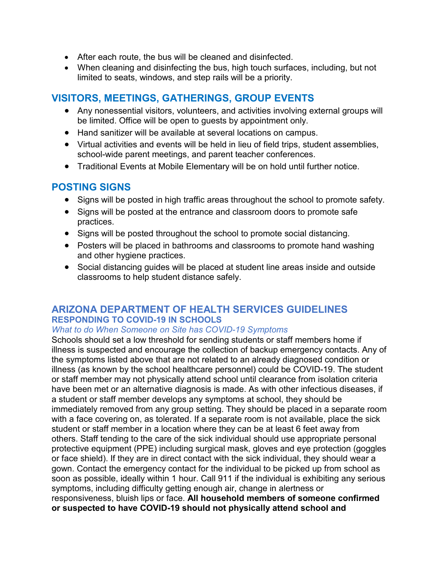- After each route, the bus will be cleaned and disinfected.
- When cleaning and disinfecting the bus, high touch surfaces, including, but not limited to seats, windows, and step rails will be a priority.

## **VISITORS, MEETINGS, GATHERINGS, GROUP EVENTS**

- Any nonessential visitors, volunteers, and activities involving external groups will be limited. Office will be open to guests by appointment only.
- Hand sanitizer will be available at several locations on campus.
- Virtual activities and events will be held in lieu of field trips, student assemblies, school-wide parent meetings, and parent teacher conferences.
- Traditional Events at Mobile Elementary will be on hold until further notice.

## **POSTING SIGNS**

- Signs will be posted in high traffic areas throughout the school to promote safety.
- Signs will be posted at the entrance and classroom doors to promote safe practices.
- Signs will be posted throughout the school to promote social distancing.
- Posters will be placed in bathrooms and classrooms to promote hand washing and other hygiene practices.
- Social distancing guides will be placed at student line areas inside and outside classrooms to help student distance safely.

#### **ARIZONA DEPARTMENT OF HEALTH SERVICES GUIDELINES RESPONDING TO COVID-19 IN SCHOOLS**

#### *What to do When Someone on Site has COVID-19 Symptoms*

Schools should set a low threshold for sending students or staff members home if illness is suspected and encourage the collection of backup emergency contacts. Any of the symptoms listed above that are not related to an already diagnosed condition or illness (as known by the school healthcare personnel) could be COVID-19. The student or staff member may not physically attend school until clearance from isolation criteria have been met or an alternative diagnosis is made. As with other infectious diseases, if a student or staff member develops any symptoms at school, they should be immediately removed from any group setting. They should be placed in a separate room with a face covering on, as tolerated. If a separate room is not available, place the sick student or staff member in a location where they can be at least 6 feet away from others. Staff tending to the care of the sick individual should use appropriate personal protective equipment (PPE) including surgical mask, gloves and eye protection (goggles or face shield). If they are in direct contact with the sick individual, they should wear a gown. Contact the emergency contact for the individual to be picked up from school as soon as possible, ideally within 1 hour. Call 911 if the individual is exhibiting any serious symptoms, including difficulty getting enough air, change in alertness or responsiveness, bluish lips or face. **All household members of someone confirmed or suspected to have COVID-19 should not physically attend school and**